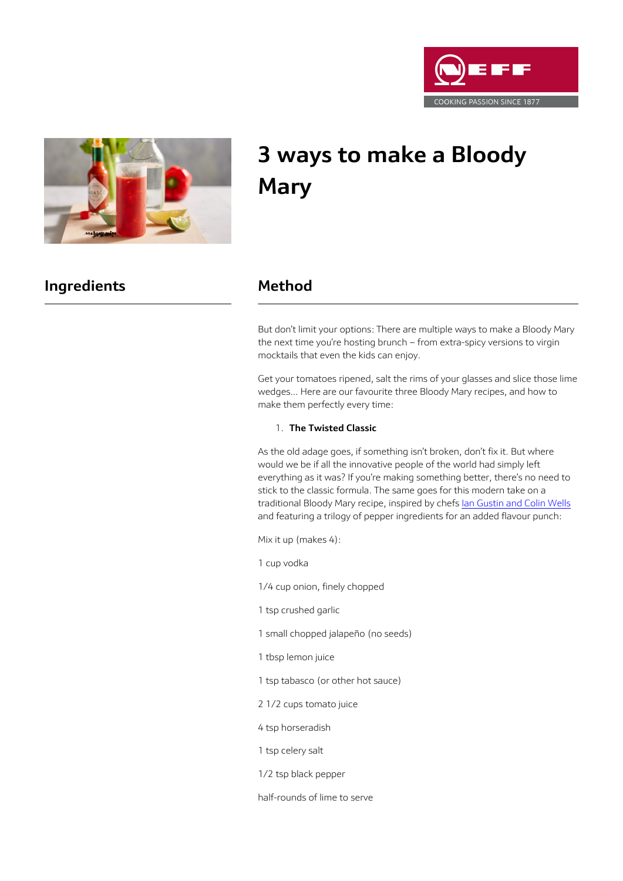



# **3 ways to make a Bloody Mary**

# **Ingredients Method**

But don't limit your options: There are multiple ways to make a Bloody Mary the next time you're hosting brunch – from extra-spicy versions to virgin mocktails that even the kids can enjoy.

Get your tomatoes ripened, salt the rims of your glasses and slice those lime wedges… Here are our favourite three Bloody Mary recipes, and how to make them perfectly every time:

#### 1. **The Twisted Classic**

As the old adage goes, if something isn't broken, don't fix it. But where would we be if all the innovative people of the world had simply left everything as it was? If you're making something better, there's no need to stick to the classic formula. The same goes for this modern take on a traditional Bloody Mary recipe, inspired by chefs [Ian Gustin and Colin Wells](http://www.foodandwine.com/recipes/three-pepper-bloody-mary) and featuring a trilogy of pepper ingredients for an added flavour punch:

Mix it up (makes 4):

1 cup vodka

1/4 cup onion, finely chopped

1 tsp crushed garlic

1 small chopped jalapeño (no seeds)

- 1 tbsp lemon juice
- 1 tsp tabasco (or other hot sauce)
- 2 1/2 cups tomato juice
- 4 tsp horseradish
- 1 tsp celery salt
- 1/2 tsp black pepper

half-rounds of lime to serve